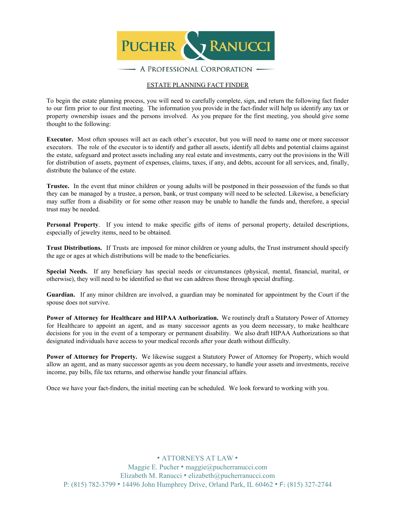

#### ESTATE PLANNING FACT FINDER

To begin the estate planning process, you will need to carefully complete, sign, and return the following fact finder to our firm prior to our first meeting. The information you provide in the fact-finder will help us identify any tax or property ownership issues and the persons involved. As you prepare for the first meeting, you should give some thought to the following:

**Executor.** Most often spouses will act as each other's executor, but you will need to name one or more successor executors. The role of the executor is to identify and gather all assets, identify all debts and potential claims against the estate, safeguard and protect assets including any real estate and investments, carry out the provisions in the Will for distribution of assets, payment of expenses, claims, taxes, if any, and debts, account for all services, and, finally, distribute the balance of the estate.

**Trustee.** In the event that minor children or young adults will be postponed in their possession of the funds so that they can be managed by a trustee, a person, bank, or trust company will need to be selected. Likewise, a beneficiary may suffer from a disability or for some other reason may be unable to handle the funds and, therefore, a special trust may be needed.

**Personal Property**. If you intend to make specific gifts of items of personal property, detailed descriptions, especially of jewelry items, need to be obtained.

**Trust Distributions.** If Trusts are imposed for minor children or young adults, the Trust instrument should specify the age or ages at which distributions will be made to the beneficiaries.

**Special Needs.** If any beneficiary has special needs or circumstances (physical, mental, financial, marital, or otherwise), they will need to be identified so that we can address those through special drafting.

**Guardian.** If any minor children are involved, a guardian may be nominated for appointment by the Court if the spouse does not survive.

**Power of Attorney for Healthcare and HIPAA Authorization.** We routinely draft a Statutory Power of Attorney for Healthcare to appoint an agent, and as many successor agents as you deem necessary, to make healthcare decisions for you in the event of a temporary or permanent disability. We also draft HIPAA Authorizations so that designated individuals have access to your medical records after your death without difficulty.

**Power of Attorney for Property.** We likewise suggest a Statutory Power of Attorney for Property, which would allow an agent, and as many successor agents as you deem necessary, to handle your assets and investments, receive income, pay bills, file tax returns, and otherwise handle your financial affairs.

Once we have your fact-finders, the initial meeting can be scheduled. We look forward to working with you.

• ATTORNEYS AT LAW •

Maggie E. Pucher • maggie@pucherranucci.com Elizabeth M. Ranucci • elizabeth@pucherranucci.com P: (815) 782-3799 • 14496 John Humphrey Drive, Orland Park, IL 60462 • F: (815) 327-2744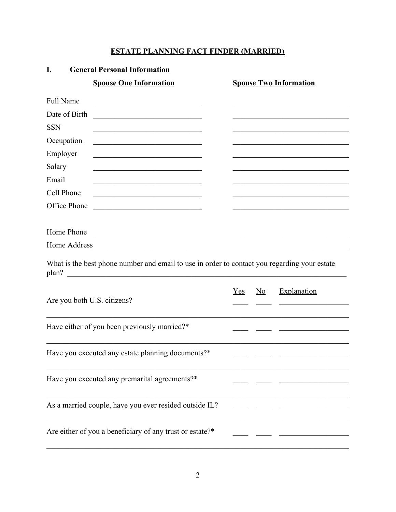# **ESTATE PLANNING FACT FINDER (MARRIED)**

| I.                          | <b>General Personal Information</b>                                                                                                                                                                                   |     |                           |                                                                                                                      |
|-----------------------------|-----------------------------------------------------------------------------------------------------------------------------------------------------------------------------------------------------------------------|-----|---------------------------|----------------------------------------------------------------------------------------------------------------------|
|                             | <b>Spouse One Information</b>                                                                                                                                                                                         |     |                           | <b>Spouse Two Information</b>                                                                                        |
| <b>Full Name</b>            | <u> 1989 - Johann Barbara, martin amerikan basar dan bagian dalam basar dalam basar dalam basar dalam basar dala</u>                                                                                                  |     |                           |                                                                                                                      |
| Date of Birth               | <u> 1999 - Johann Barbara, martin amerikan basa</u>                                                                                                                                                                   |     |                           |                                                                                                                      |
| <b>SSN</b>                  | <u> 1989 - Johann John Stein, mars an deutscher Stein († 1951)</u>                                                                                                                                                    |     |                           |                                                                                                                      |
| Occupation                  |                                                                                                                                                                                                                       |     |                           |                                                                                                                      |
| Employer                    |                                                                                                                                                                                                                       |     |                           |                                                                                                                      |
| Salary                      | <u> 1989 - Johann John Stone, mars eta biztanleria (h. 1989).</u>                                                                                                                                                     |     |                           | <u> 1989 - Johann John Stone, market fan it ferstjer fan it ferstjer fan it ferstjer fan it ferstjer fan it fers</u> |
| Email                       | the control of the control of the control of the control of the control of the control of                                                                                                                             |     |                           |                                                                                                                      |
| Cell Phone                  | <u> 1989 - Johann Barbara, martin amerikan basal dan berasal dalam basal dalam basal dalam basal dalam basal dala</u>                                                                                                 |     |                           | the control of the control of the control of the control of the control of the control of                            |
| Office Phone                |                                                                                                                                                                                                                       |     |                           |                                                                                                                      |
|                             |                                                                                                                                                                                                                       |     |                           |                                                                                                                      |
| Home Phone                  |                                                                                                                                                                                                                       |     |                           |                                                                                                                      |
|                             |                                                                                                                                                                                                                       |     |                           |                                                                                                                      |
| plan?                       | What is the best phone number and email to use in order to contact you regarding your estate<br><u> 1989 - Johann Barbara, martin amerikan basal dan berasal dalam basal dalam basal dalam basal dalam basal dala</u> |     |                           |                                                                                                                      |
| Are you both U.S. citizens? |                                                                                                                                                                                                                       | Yes | $\underline{\mathrm{No}}$ | Explanation                                                                                                          |
|                             | Have either of you been previously married?*                                                                                                                                                                          |     |                           | the control of the control of the control of the control of                                                          |
|                             | Have you executed any estate planning documents?*                                                                                                                                                                     |     |                           |                                                                                                                      |
|                             | Have you executed any premarital agreements?*                                                                                                                                                                         |     |                           |                                                                                                                      |
|                             | As a married couple, have you ever resided outside IL?                                                                                                                                                                |     |                           |                                                                                                                      |
|                             | Are either of you a beneficiary of any trust or estate?*                                                                                                                                                              |     |                           |                                                                                                                      |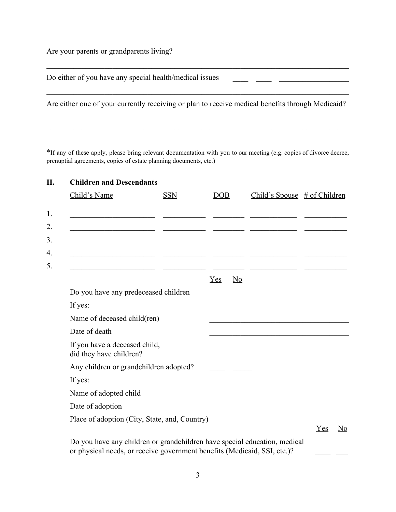| Are your parents or grandparents living?                                                         |  |
|--------------------------------------------------------------------------------------------------|--|
| Do either of you have any special health/medical issues                                          |  |
| Are either one of your currently receiving or plan to receive medical benefits through Medicaid? |  |

 $\frac{1}{2}$  ,  $\frac{1}{2}$  ,  $\frac{1}{2}$  ,  $\frac{1}{2}$  ,  $\frac{1}{2}$  ,  $\frac{1}{2}$  ,  $\frac{1}{2}$  ,  $\frac{1}{2}$  ,  $\frac{1}{2}$  ,  $\frac{1}{2}$  ,  $\frac{1}{2}$  ,  $\frac{1}{2}$  ,  $\frac{1}{2}$  ,  $\frac{1}{2}$  ,  $\frac{1}{2}$  ,  $\frac{1}{2}$  ,  $\frac{1}{2}$  ,  $\frac{1}{2}$  ,  $\frac{1$ 

\*If any of these apply, please bring relevant documentation with you to our meeting (e.g. copies of divorce decree, prenuptial agreements, copies of estate planning documents, etc.)

 $\mathcal{L}_\mathcal{L} = \{ \mathcal{L}_\mathcal{L} = \{ \mathcal{L}_\mathcal{L} = \{ \mathcal{L}_\mathcal{L} = \{ \mathcal{L}_\mathcal{L} = \{ \mathcal{L}_\mathcal{L} = \{ \mathcal{L}_\mathcal{L} = \{ \mathcal{L}_\mathcal{L} = \{ \mathcal{L}_\mathcal{L} = \{ \mathcal{L}_\mathcal{L} = \{ \mathcal{L}_\mathcal{L} = \{ \mathcal{L}_\mathcal{L} = \{ \mathcal{L}_\mathcal{L} = \{ \mathcal{L}_\mathcal{L} = \{ \mathcal{L}_\mathcal{$ 

| Child's Name                                                                      | <b>SSN</b> | DOB                                                                                                                                                                                                                                  | Child's Spouse $\#$ of Children                                                           |                                  |
|-----------------------------------------------------------------------------------|------------|--------------------------------------------------------------------------------------------------------------------------------------------------------------------------------------------------------------------------------------|-------------------------------------------------------------------------------------------|----------------------------------|
|                                                                                   |            |                                                                                                                                                                                                                                      |                                                                                           |                                  |
|                                                                                   |            |                                                                                                                                                                                                                                      |                                                                                           |                                  |
|                                                                                   |            |                                                                                                                                                                                                                                      |                                                                                           |                                  |
|                                                                                   |            |                                                                                                                                                                                                                                      |                                                                                           |                                  |
|                                                                                   |            | Yes<br>$\underline{\mathrm{No}}$                                                                                                                                                                                                     |                                                                                           |                                  |
| Do you have any predeceased children                                              |            |                                                                                                                                                                                                                                      |                                                                                           |                                  |
| If yes:                                                                           |            |                                                                                                                                                                                                                                      |                                                                                           |                                  |
| Name of deceased child(ren)                                                       |            |                                                                                                                                                                                                                                      |                                                                                           |                                  |
| Date of death                                                                     |            |                                                                                                                                                                                                                                      |                                                                                           |                                  |
| If you have a deceased child,<br>did they have children?                          |            | <u>and the second part of the second part of the second part of the second part of the second part of the second part of the second part of the second part of the second part of the second part of the second part of the seco</u> |                                                                                           |                                  |
| Any children or grandchildren adopted?                                            |            |                                                                                                                                                                                                                                      |                                                                                           |                                  |
| If yes:                                                                           |            |                                                                                                                                                                                                                                      |                                                                                           |                                  |
| Name of adopted child                                                             |            |                                                                                                                                                                                                                                      |                                                                                           |                                  |
| Date of adoption                                                                  |            |                                                                                                                                                                                                                                      | the control of the control of the control of the control of the control of the control of |                                  |
| Place of adoption (City, State, and, Country) ___________________________________ |            |                                                                                                                                                                                                                                      |                                                                                           |                                  |
|                                                                                   |            |                                                                                                                                                                                                                                      |                                                                                           | Yes<br>$\underline{\mathrm{No}}$ |

or physical needs, or receive government benefits (Medicaid, SSI, etc.)?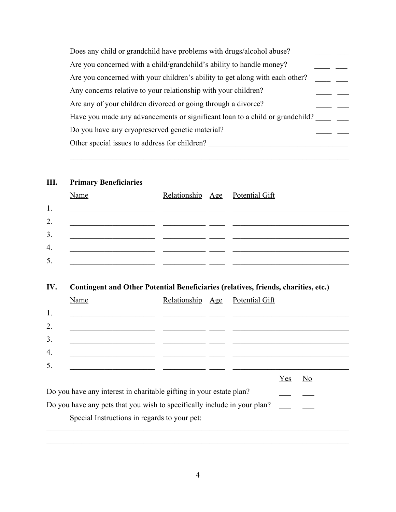| Does any child or grandchild have problems with drugs/alcohol abuse?         |
|------------------------------------------------------------------------------|
| Are you concerned with a child/grandchild's ability to handle money?         |
| Are you concerned with your children's ability to get along with each other? |
| Any concerns relative to your relationship with your children?               |
| Are any of your children divorced or going through a divorce?                |
| Have you made any advancements or significant loan to a child or grandchild? |
| Do you have any cryopreserved genetic material?                              |
| Other special issues to address for children?                                |
|                                                                              |

 $\mathcal{L}_\text{max}$  , and the contribution of the contribution of the contribution of the contribution of the contribution of the contribution of the contribution of the contribution of the contribution of the contribution of t

## **III. Primary Beneficiaries**

|                  | Name |  | Relationship Age Potential Gift |
|------------------|------|--|---------------------------------|
| 1.               |      |  |                                 |
| $\overline{2}$ . |      |  |                                 |
| 3.               |      |  |                                 |
| $\overline{4}$ . |      |  |                                 |
| 5.               |      |  |                                 |

# **IV. Contingent and Other Potential Beneficiaries (relatives, friends, charities, etc.)**

|    | Name                                                                     |  | Relationship Age Potential Gift |     |                |
|----|--------------------------------------------------------------------------|--|---------------------------------|-----|----------------|
| 1. |                                                                          |  |                                 |     |                |
| 2. |                                                                          |  |                                 |     |                |
| 3. |                                                                          |  |                                 |     |                |
| 4. |                                                                          |  |                                 |     |                |
| 5. |                                                                          |  |                                 |     |                |
|    |                                                                          |  |                                 | Yes | N <sub>0</sub> |
|    | Do you have any interest in charitable gifting in your estate plan?      |  |                                 |     |                |
|    | Do you have any pets that you wish to specifically include in your plan? |  |                                 |     |                |
|    | Special Instructions in regards to your pet:                             |  |                                 |     |                |

 $\mathcal{L}_\mathcal{L} = \{ \mathcal{L}_\mathcal{L} = \{ \mathcal{L}_\mathcal{L} = \{ \mathcal{L}_\mathcal{L} = \{ \mathcal{L}_\mathcal{L} = \{ \mathcal{L}_\mathcal{L} = \{ \mathcal{L}_\mathcal{L} = \{ \mathcal{L}_\mathcal{L} = \{ \mathcal{L}_\mathcal{L} = \{ \mathcal{L}_\mathcal{L} = \{ \mathcal{L}_\mathcal{L} = \{ \mathcal{L}_\mathcal{L} = \{ \mathcal{L}_\mathcal{L} = \{ \mathcal{L}_\mathcal{L} = \{ \mathcal{L}_\mathcal{$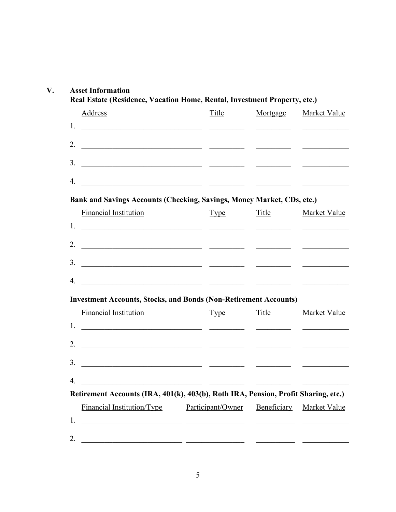|                      | <b>Address</b>                                                                                                                                                                                                                                                                                                                                                                                                   | <b>Title</b>      | Mortgage                                                                                                                                                                                                                             | <b>Market Value</b>                                                                                                    |
|----------------------|------------------------------------------------------------------------------------------------------------------------------------------------------------------------------------------------------------------------------------------------------------------------------------------------------------------------------------------------------------------------------------------------------------------|-------------------|--------------------------------------------------------------------------------------------------------------------------------------------------------------------------------------------------------------------------------------|------------------------------------------------------------------------------------------------------------------------|
| 1.                   |                                                                                                                                                                                                                                                                                                                                                                                                                  |                   |                                                                                                                                                                                                                                      | <u> The Communication of the Communication</u>                                                                         |
|                      | 2. $\overline{\phantom{a}}$                                                                                                                                                                                                                                                                                                                                                                                      |                   |                                                                                                                                                                                                                                      |                                                                                                                        |
|                      |                                                                                                                                                                                                                                                                                                                                                                                                                  |                   |                                                                                                                                                                                                                                      |                                                                                                                        |
| 4.                   | <u> 1989 - Andrea Station, amerikansk politik (</u>                                                                                                                                                                                                                                                                                                                                                              |                   |                                                                                                                                                                                                                                      |                                                                                                                        |
|                      | Bank and Savings Accounts (Checking, Savings, Money Market, CDs, etc.)                                                                                                                                                                                                                                                                                                                                           |                   |                                                                                                                                                                                                                                      |                                                                                                                        |
|                      | <b>Financial Institution</b>                                                                                                                                                                                                                                                                                                                                                                                     | <b>Type</b>       | Title                                                                                                                                                                                                                                | <b>Market Value</b>                                                                                                    |
|                      |                                                                                                                                                                                                                                                                                                                                                                                                                  |                   |                                                                                                                                                                                                                                      | the control of the control of the control of                                                                           |
|                      |                                                                                                                                                                                                                                                                                                                                                                                                                  |                   |                                                                                                                                                                                                                                      |                                                                                                                        |
|                      |                                                                                                                                                                                                                                                                                                                                                                                                                  |                   |                                                                                                                                                                                                                                      |                                                                                                                        |
|                      |                                                                                                                                                                                                                                                                                                                                                                                                                  |                   |                                                                                                                                                                                                                                      |                                                                                                                        |
|                      | <u> 1999 - Johann Harry Harry Harry Harry Harry Harry Harry Harry Harry Harry Harry Harry Harry Harry Harry Harry Harry Harry Harry Harry Harry Harry Harry Harry Harry Harry Harry Harry Harry Harry Harry Harry Harry Harry Ha</u>                                                                                                                                                                             |                   |                                                                                                                                                                                                                                      | <u> 1989 - Johann John Harry Harry Harry Harry Harry Harry Harry Harry Harry Harry Harry Harry Harry Harry Harry H</u> |
|                      | <b>Investment Accounts, Stocks, and Bonds (Non-Retirement Accounts)</b>                                                                                                                                                                                                                                                                                                                                          |                   |                                                                                                                                                                                                                                      |                                                                                                                        |
|                      | <b>Financial Institution</b>                                                                                                                                                                                                                                                                                                                                                                                     | <b>Type</b>       | <b>Title</b>                                                                                                                                                                                                                         | <b>Market Value</b>                                                                                                    |
| 1.                   | <u> 1980 - Jan Samuel Barbara, martin da shekara 1980 - André Samuel Barbara, mashrida</u>                                                                                                                                                                                                                                                                                                                       |                   | <u>and the company of the company of the company of the company of the company of the company of the company of the company of the company of the company of the company of the company of the company of the company of the com</u> |                                                                                                                        |
| 4.                   | 2. $\frac{1}{\sqrt{1-\frac{1}{2}}\sqrt{1-\frac{1}{2}}\sqrt{1-\frac{1}{2}}\sqrt{1-\frac{1}{2}}\sqrt{1-\frac{1}{2}}\sqrt{1-\frac{1}{2}}\sqrt{1-\frac{1}{2}}\sqrt{1-\frac{1}{2}}\sqrt{1-\frac{1}{2}}\sqrt{1-\frac{1}{2}}\sqrt{1-\frac{1}{2}}\sqrt{1-\frac{1}{2}}\sqrt{1-\frac{1}{2}}\sqrt{1-\frac{1}{2}}\sqrt{1-\frac{1}{2}}\sqrt{1-\frac{1}{2}}\sqrt{1-\frac{1}{2}}\sqrt{1-\frac{1}{2}}\sqrt{1-\frac{1}{2}}\sqrt{$ |                   |                                                                                                                                                                                                                                      |                                                                                                                        |
|                      |                                                                                                                                                                                                                                                                                                                                                                                                                  |                   |                                                                                                                                                                                                                                      |                                                                                                                        |
|                      | <u> 1989 - Jan Samuel Barbara, politik eta politik eta politik eta politik eta politik eta politik eta politik e</u>                                                                                                                                                                                                                                                                                             |                   |                                                                                                                                                                                                                                      |                                                                                                                        |
|                      | <u> 1989 - Johann Stein, fransk politik (</u><br>Retirement Accounts (IRA, 401(k), 403(b), Roth IRA, Pension, Profit Sharing, etc.)                                                                                                                                                                                                                                                                              |                   |                                                                                                                                                                                                                                      |                                                                                                                        |
| 3 <sub>1</sub><br>4. | Financial Institution/Type                                                                                                                                                                                                                                                                                                                                                                                       | Participant/Owner | Beneficiary                                                                                                                                                                                                                          | <b>Market Value</b>                                                                                                    |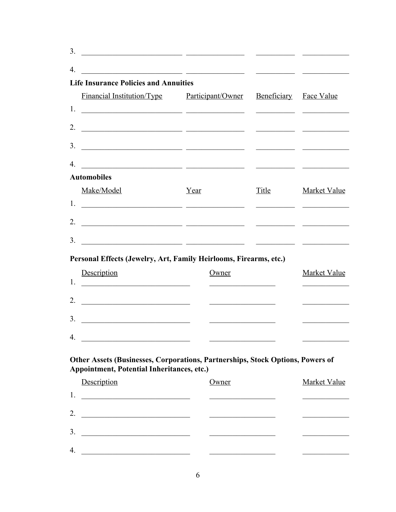| 3. |                                                                                                                                                                                                                                                                                                                                                                                                                  |                                                              |                        |                                                                |
|----|------------------------------------------------------------------------------------------------------------------------------------------------------------------------------------------------------------------------------------------------------------------------------------------------------------------------------------------------------------------------------------------------------------------|--------------------------------------------------------------|------------------------|----------------------------------------------------------------|
| 4. | <u> 1989 - Johann John Stone, mars eta biztanleria (h. 1989).</u>                                                                                                                                                                                                                                                                                                                                                |                                                              |                        |                                                                |
|    | <b>Life Insurance Policies and Annuities</b>                                                                                                                                                                                                                                                                                                                                                                     |                                                              |                        |                                                                |
|    | <u>Financial Institution/Type Participant/Owner</u>                                                                                                                                                                                                                                                                                                                                                              |                                                              | Beneficiary Face Value |                                                                |
|    |                                                                                                                                                                                                                                                                                                                                                                                                                  |                                                              |                        |                                                                |
|    |                                                                                                                                                                                                                                                                                                                                                                                                                  |                                                              |                        |                                                                |
| 3. |                                                                                                                                                                                                                                                                                                                                                                                                                  |                                                              |                        |                                                                |
| 4  |                                                                                                                                                                                                                                                                                                                                                                                                                  |                                                              |                        |                                                                |
|    | <b>Automobiles</b>                                                                                                                                                                                                                                                                                                                                                                                               |                                                              |                        |                                                                |
|    | Make/Model                                                                                                                                                                                                                                                                                                                                                                                                       | Year                                                         | <b>Title</b>           | <b>Market Value</b>                                            |
| 1. | <u> 1989 - Andrea Stadt, fransk politik (f. 1989)</u>                                                                                                                                                                                                                                                                                                                                                            |                                                              |                        |                                                                |
|    |                                                                                                                                                                                                                                                                                                                                                                                                                  |                                                              |                        |                                                                |
| 3. |                                                                                                                                                                                                                                                                                                                                                                                                                  |                                                              |                        |                                                                |
|    | <u> 1999 - Jan James James, maria al II-lea (h. 1918).</u>                                                                                                                                                                                                                                                                                                                                                       |                                                              |                        |                                                                |
|    |                                                                                                                                                                                                                                                                                                                                                                                                                  |                                                              |                        |                                                                |
|    | Personal Effects (Jewelry, Art, Family Heirlooms, Firearms, etc.)                                                                                                                                                                                                                                                                                                                                                |                                                              |                        |                                                                |
|    | Description                                                                                                                                                                                                                                                                                                                                                                                                      | Owner<br><u> 2000 - Andrea Andrews, amerikansk politik (</u> |                        | Market Value<br><u> The Communication of the Communication</u> |
|    |                                                                                                                                                                                                                                                                                                                                                                                                                  |                                                              |                        |                                                                |
| 2. |                                                                                                                                                                                                                                                                                                                                                                                                                  |                                                              |                        |                                                                |
| 3. |                                                                                                                                                                                                                                                                                                                                                                                                                  |                                                              |                        |                                                                |
| 4. | <u> 2002 - Johann John Stone, mars et al. (</u>                                                                                                                                                                                                                                                                                                                                                                  |                                                              |                        |                                                                |
|    |                                                                                                                                                                                                                                                                                                                                                                                                                  |                                                              |                        |                                                                |
|    | Other Assets (Businesses, Corporations, Partnerships, Stock Options, Powers of<br>Appointment, Potential Inheritances, etc.)                                                                                                                                                                                                                                                                                     |                                                              |                        |                                                                |
|    | Description                                                                                                                                                                                                                                                                                                                                                                                                      | Owner                                                        |                        | <b>Market Value</b>                                            |
|    |                                                                                                                                                                                                                                                                                                                                                                                                                  |                                                              |                        | <u> 1990 - Johann Barbara, martxa a</u>                        |
|    | 2. $\frac{1}{\sqrt{1-\frac{1}{2}}\sqrt{1-\frac{1}{2}}\sqrt{1-\frac{1}{2}}\sqrt{1-\frac{1}{2}}\sqrt{1-\frac{1}{2}}\sqrt{1-\frac{1}{2}}\sqrt{1-\frac{1}{2}}\sqrt{1-\frac{1}{2}}\sqrt{1-\frac{1}{2}}\sqrt{1-\frac{1}{2}}\sqrt{1-\frac{1}{2}}\sqrt{1-\frac{1}{2}}\sqrt{1-\frac{1}{2}}\sqrt{1-\frac{1}{2}}\sqrt{1-\frac{1}{2}}\sqrt{1-\frac{1}{2}}\sqrt{1-\frac{1}{2}}\sqrt{1-\frac{1}{2}}\sqrt{1-\frac{1}{2}}\sqrt{$ |                                                              |                        |                                                                |
| 3. |                                                                                                                                                                                                                                                                                                                                                                                                                  |                                                              |                        |                                                                |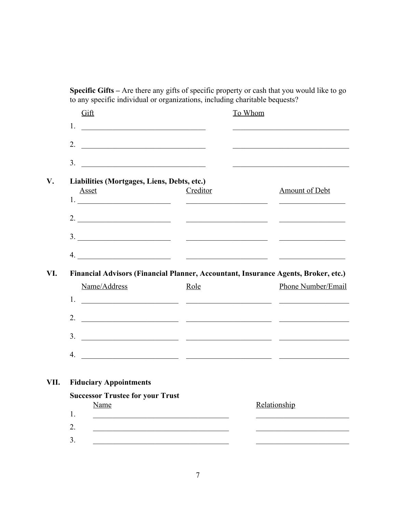**Specific Gifts –** Are there any gifts of specific property or cash that you would like to go to any specific individual or organizations, including charitable bequests?

|                | Gift                                                                                                                                                                                                                                 |          | To Whom |                                                                                               |
|----------------|--------------------------------------------------------------------------------------------------------------------------------------------------------------------------------------------------------------------------------------|----------|---------|-----------------------------------------------------------------------------------------------|
| 1.             |                                                                                                                                                                                                                                      |          |         | <u> 1989 - Johann Barbara, martxa alemaniar amerikan a</u>                                    |
| 2.             | <u> 1989 - Johann Harry Harry Harry Harry Harry Harry Harry Harry Harry Harry Harry Harry Harry Harry Harry Harry Harry Harry Harry Harry Harry Harry Harry Harry Harry Harry Harry Harry Harry Harry Harry Harry Harry Harry Ha</u> |          |         |                                                                                               |
|                |                                                                                                                                                                                                                                      |          |         |                                                                                               |
| 3 <sub>1</sub> | <u> 1989 - Johann Barn, mars and de Branch Barn, mars and de Branch Barn, mars and de Branch Barn, mars and de Br</u>                                                                                                                |          |         | and the control of the control of the control of the control of the control of the control of |
|                | Liabilities (Mortgages, Liens, Debts, etc.)                                                                                                                                                                                          |          |         |                                                                                               |
|                | <b>Asset</b>                                                                                                                                                                                                                         | Creditor |         | <b>Amount of Debt</b>                                                                         |
|                |                                                                                                                                                                                                                                      |          |         |                                                                                               |
|                |                                                                                                                                                                                                                                      |          |         |                                                                                               |
|                |                                                                                                                                                                                                                                      |          |         |                                                                                               |
|                |                                                                                                                                                                                                                                      |          |         |                                                                                               |
|                | $\mathcal{A}$ . And the contract of the contract of the contract of the contract of the contract of the contract of the contract of the contract of the contract of the contract of the contract of the contract of the contract of  |          |         |                                                                                               |
|                |                                                                                                                                                                                                                                      |          |         |                                                                                               |
|                |                                                                                                                                                                                                                                      |          |         |                                                                                               |
|                | Financial Advisors (Financial Planner, Accountant, Insurance Agents, Broker, etc.)<br>Name/Address                                                                                                                                   | Role     |         | Phone Number/Email                                                                            |
| 1.             |                                                                                                                                                                                                                                      |          |         |                                                                                               |
|                | <u> 1999 - Johann Harry Harry Harry Harry Harry Harry Harry Harry Harry Harry Harry Harry Harry Harry Harry Harry H</u>                                                                                                              |          |         |                                                                                               |
|                |                                                                                                                                                                                                                                      |          |         |                                                                                               |
|                | $\frac{3}{2}$                                                                                                                                                                                                                        |          |         |                                                                                               |
|                |                                                                                                                                                                                                                                      |          |         |                                                                                               |
|                |                                                                                                                                                                                                                                      |          |         |                                                                                               |
|                |                                                                                                                                                                                                                                      |          |         |                                                                                               |
|                | <b>Fiduciary Appointments</b>                                                                                                                                                                                                        |          |         |                                                                                               |
|                | <b>Successor Trustee for your Trust</b>                                                                                                                                                                                              |          |         |                                                                                               |
| 1.             | <b>Name</b>                                                                                                                                                                                                                          |          |         | Relationship                                                                                  |
| 2.             |                                                                                                                                                                                                                                      |          |         |                                                                                               |
| 3.             |                                                                                                                                                                                                                                      |          |         |                                                                                               |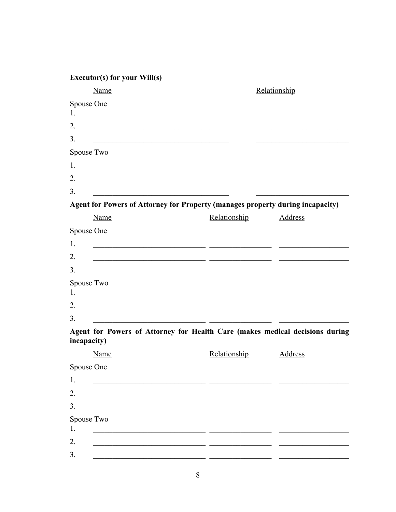|    | Name                                                                                                                 |                                                                                                                               | Relationship                                                                 |
|----|----------------------------------------------------------------------------------------------------------------------|-------------------------------------------------------------------------------------------------------------------------------|------------------------------------------------------------------------------|
|    | Spouse One                                                                                                           |                                                                                                                               |                                                                              |
| 1. | <u> 1989 - Johann Stein, mars an deutscher Stein und der Stein und der Stein und der Stein und der Stein und der</u> |                                                                                                                               |                                                                              |
| 2. |                                                                                                                      |                                                                                                                               |                                                                              |
| 3. |                                                                                                                      |                                                                                                                               |                                                                              |
|    | Spouse Two                                                                                                           |                                                                                                                               |                                                                              |
| 1. |                                                                                                                      | <u> 1989 - Johann John Stone, mars et al. 1989 - John Stone, mars et al. 1989 - John Stone, mars et al. 1989 - John Stone</u> |                                                                              |
| 2. |                                                                                                                      |                                                                                                                               |                                                                              |
| 3. |                                                                                                                      |                                                                                                                               |                                                                              |
|    |                                                                                                                      | Agent for Powers of Attorney for Property (manages property during incapacity)                                                |                                                                              |
|    | Name                                                                                                                 | Relationship                                                                                                                  | Address                                                                      |
|    | Spouse One                                                                                                           |                                                                                                                               |                                                                              |
| 1. |                                                                                                                      | <u> 1989 - Johann John Stone, markin film yn y brening y de yn y brening y de yn y brening y de yn y brening y d</u>          |                                                                              |
| 2. |                                                                                                                      |                                                                                                                               |                                                                              |
| 3. |                                                                                                                      |                                                                                                                               |                                                                              |
| 1. | Spouse Two                                                                                                           |                                                                                                                               |                                                                              |
| 2. |                                                                                                                      | <u> 1980 - Jan Barbara Barbara, manazarta da kas</u>                                                                          |                                                                              |
| 3. |                                                                                                                      |                                                                                                                               |                                                                              |
|    |                                                                                                                      |                                                                                                                               | Agent for Powers of Attorney for Health Care (makes medical decisions during |
|    | incapacity)                                                                                                          |                                                                                                                               |                                                                              |
|    | <b>Name</b><br>Spouse One                                                                                            | Relationship                                                                                                                  | <b>Address</b>                                                               |
| 1. |                                                                                                                      |                                                                                                                               |                                                                              |
| 2. |                                                                                                                      |                                                                                                                               |                                                                              |
| 3. |                                                                                                                      |                                                                                                                               |                                                                              |
|    | Spouse Two                                                                                                           |                                                                                                                               |                                                                              |
| 1. |                                                                                                                      |                                                                                                                               |                                                                              |
| 2. |                                                                                                                      |                                                                                                                               |                                                                              |
| 3. |                                                                                                                      |                                                                                                                               |                                                                              |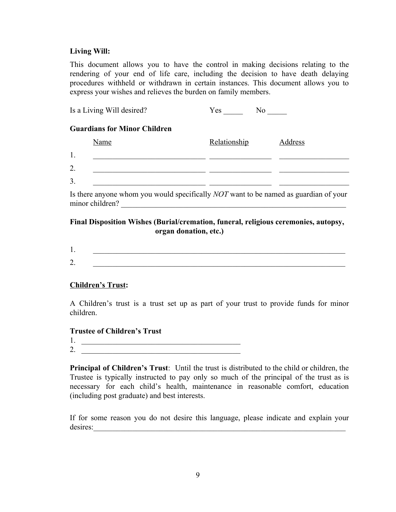#### **Living Will:**

This document allows you to have the control in making decisions relating to the rendering of your end of life care, including the decision to have death delaying procedures withheld or withdrawn in certain instances. This document allows you to express your wishes and relieves the burden on family members.

| Is a Living Will desired?           | Yes<br>No    |         |
|-------------------------------------|--------------|---------|
| <b>Guardians for Minor Children</b> |              |         |
| Name                                | Relationship | Address |
| 1.                                  |              |         |
| 2.                                  |              |         |
| 3.                                  |              |         |
|                                     |              |         |

Is there anyone whom you would specifically *NOT* want to be named as guardian of your minor children?

### **Final Disposition Wishes (Burial/cremation, funeral, religious ceremonies, autopsy, organ donation, etc.)**

| . .<br>- |  |  |
|----------|--|--|

### **Children's Trust:**

A Children's trust is a trust set up as part of your trust to provide funds for minor children.

#### **Trustee of Children's Trust**

- 1. \_\_\_\_\_\_\_\_\_\_\_\_\_\_\_\_\_\_\_\_\_\_\_\_\_\_\_\_\_\_\_\_\_\_\_\_\_\_\_\_\_
- 2. \_\_\_\_\_\_\_\_\_\_\_\_\_\_\_\_\_\_\_\_\_\_\_\_\_\_\_\_\_\_\_\_\_\_\_\_\_\_\_\_\_

**Principal of Children's Trust**: Until the trust is distributed to the child or children, the Trustee is typically instructed to pay only so much of the principal of the trust as is necessary for each child's health, maintenance in reasonable comfort, education (including post graduate) and best interests.

If for some reason you do not desire this language, please indicate and explain your desires: